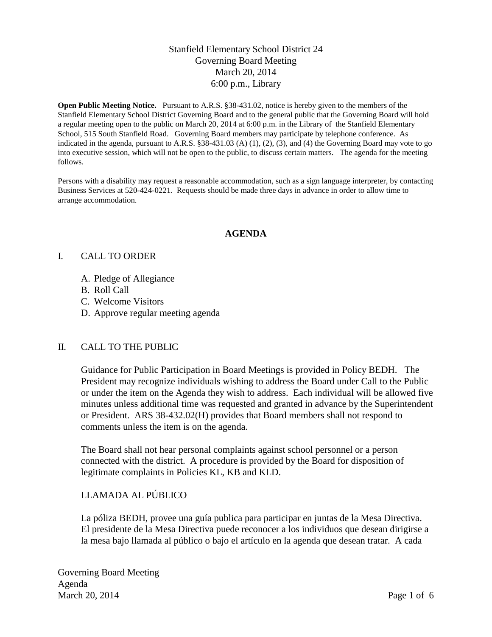# Stanfield Elementary School District 24 Governing Board Meeting March 20, 2014 6:00 p.m., Library

**Open Public Meeting Notice.** Pursuant to A.R.S. §38-431.02, notice is hereby given to the members of the Stanfield Elementary School District Governing Board and to the general public that the Governing Board will hold a regular meeting open to the public on March 20, 2014 at 6:00 p.m. in the Library of the Stanfield Elementary School, 515 South Stanfield Road. Governing Board members may participate by telephone conference. As indicated in the agenda, pursuant to A.R.S. §38-431.03 (A) (1), (2), (3), and (4) the Governing Board may vote to go into executive session, which will not be open to the public, to discuss certain matters. The agenda for the meeting follows.

Persons with a disability may request a reasonable accommodation, such as a sign language interpreter, by contacting Business Services at 520-424-0221. Requests should be made three days in advance in order to allow time to arrange accommodation.

## **AGENDA**

## I. CALL TO ORDER

- A. Pledge of Allegiance
- B. Roll Call
- C. Welcome Visitors
- D. Approve regular meeting agenda

#### II. CALL TO THE PUBLIC

Guidance for Public Participation in Board Meetings is provided in Policy BEDH. The President may recognize individuals wishing to address the Board under Call to the Public or under the item on the Agenda they wish to address. Each individual will be allowed five minutes unless additional time was requested and granted in advance by the Superintendent or President. ARS 38-432.02(H) provides that Board members shall not respond to comments unless the item is on the agenda.

The Board shall not hear personal complaints against school personnel or a person connected with the district. A procedure is provided by the Board for disposition of legitimate complaints in Policies KL, KB and KLD.

# LLAMADA AL PÚBLICO

La póliza BEDH, provee una guía publica para participar en juntas de la Mesa Directiva. El presidente de la Mesa Directiva puede reconocer a los individuos que desean dirigirse a la mesa bajo llamada al público o bajo el artículo en la agenda que desean tratar. A cada

Governing Board Meeting Agenda March 20, 2014 Page 1 of 6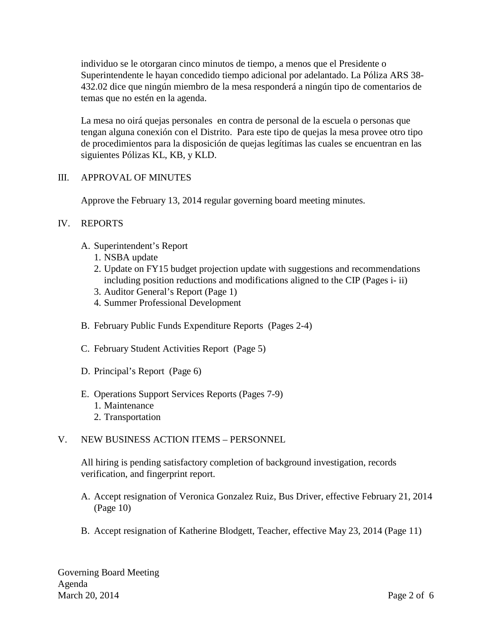individuo se le otorgaran cinco minutos de tiempo, a menos que el Presidente o Superintendente le hayan concedido tiempo adicional por adelantado. La Póliza ARS 38- 432.02 dice que ningún miembro de la mesa responderá a ningún tipo de comentarios de temas que no estén en la agenda.

La mesa no oirá quejas personales en contra de personal de la escuela o personas que tengan alguna conexión con el Distrito. Para este tipo de quejas la mesa provee otro tipo de procedimientos para la disposición de quejas legítimas las cuales se encuentran en las siguientes Pólizas KL, KB, y KLD.

## III. APPROVAL OF MINUTES

Approve the February 13, 2014 regular governing board meeting minutes.

## IV. REPORTS

- A. Superintendent's Report
	- 1. NSBA update
	- 2. Update on FY15 budget projection update with suggestions and recommendations including position reductions and modifications aligned to the CIP (Pages i- ii)
	- 3. Auditor General's Report (Page 1)
	- 4. Summer Professional Development
- B. February Public Funds Expenditure Reports (Pages 2-4)
- C. February Student Activities Report (Page 5)
- D. Principal's Report (Page 6)
- E. Operations Support Services Reports (Pages 7-9)
	- 1. Maintenance
	- 2. Transportation

## V. NEW BUSINESS ACTION ITEMS – PERSONNEL

All hiring is pending satisfactory completion of background investigation, records verification, and fingerprint report.

- A. Accept resignation of Veronica Gonzalez Ruiz, Bus Driver, effective February 21, 2014 (Page 10)
- B. Accept resignation of Katherine Blodgett, Teacher, effective May 23, 2014 (Page 11)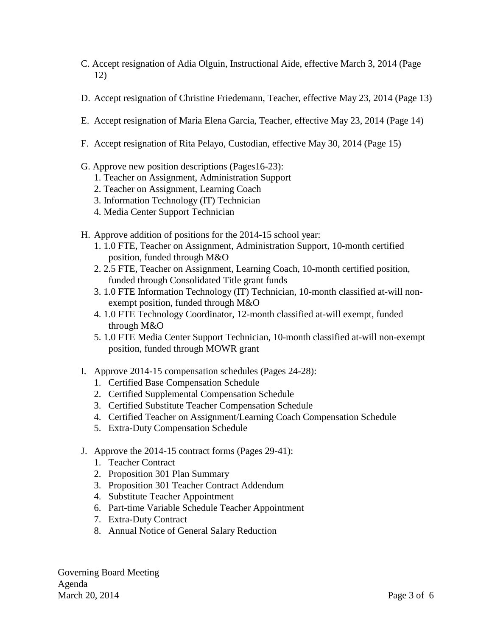- C. Accept resignation of Adia Olguin, Instructional Aide, effective March 3, 2014 (Page 12)
- D. Accept resignation of Christine Friedemann, Teacher, effective May 23, 2014 (Page 13)
- E. Accept resignation of Maria Elena Garcia, Teacher, effective May 23, 2014 (Page 14)
- F. Accept resignation of Rita Pelayo, Custodian, effective May 30, 2014 (Page 15)
- G. Approve new position descriptions (Pages16-23):
	- 1. Teacher on Assignment, Administration Support
	- 2. Teacher on Assignment, Learning Coach
	- 3. Information Technology (IT) Technician
	- 4. Media Center Support Technician
- H. Approve addition of positions for the 2014-15 school year:
	- 1. 1.0 FTE, Teacher on Assignment, Administration Support, 10-month certified position, funded through M&O
	- 2. 2.5 FTE, Teacher on Assignment, Learning Coach, 10-month certified position, funded through Consolidated Title grant funds
	- 3. 1.0 FTE Information Technology (IT) Technician, 10-month classified at-will nonexempt position, funded through M&O
	- 4. 1.0 FTE Technology Coordinator, 12-month classified at-will exempt, funded through M&O
	- 5. 1.0 FTE Media Center Support Technician, 10-month classified at-will non-exempt position, funded through MOWR grant
- I. Approve 2014-15 compensation schedules (Pages 24-28):
	- 1. Certified Base Compensation Schedule
	- 2. Certified Supplemental Compensation Schedule
	- 3. Certified Substitute Teacher Compensation Schedule
	- 4. Certified Teacher on Assignment/Learning Coach Compensation Schedule
	- 5. Extra-Duty Compensation Schedule
- J. Approve the 2014-15 contract forms (Pages 29-41):
	- 1. Teacher Contract
	- 2. Proposition 301 Plan Summary
	- 3. Proposition 301 Teacher Contract Addendum
	- 4. Substitute Teacher Appointment
	- 6. Part-time Variable Schedule Teacher Appointment
	- 7. Extra-Duty Contract
	- 8. Annual Notice of General Salary Reduction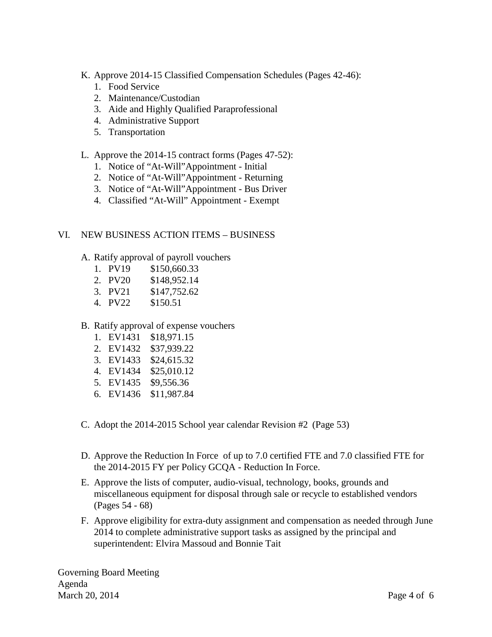- K. Approve 2014-15 Classified Compensation Schedules (Pages 42-46):
	- 1. Food Service
	- 2. Maintenance/Custodian
	- 3. Aide and Highly Qualified Paraprofessional
	- 4. Administrative Support
	- 5. Transportation
- L. Approve the 2014-15 contract forms (Pages 47-52):
	- 1. Notice of "At-Will"Appointment Initial
	- 2. Notice of "At-Will"Appointment Returning
	- 3. Notice of "At-Will"Appointment Bus Driver
	- 4. Classified "At-Will" Appointment Exempt

## VI. NEW BUSINESS ACTION ITEMS – BUSINESS

- A. Ratify approval of payroll vouchers
	- 1. PV19 \$150,660.33
	- 2. PV20 \$148,952.14
	- 3. PV21 \$147,752.62
	- 4. PV22 \$150.51

## B. Ratify approval of expense vouchers

- 1. EV1431 \$18,971.15
- 2. EV1432 \$37,939.22
- 3. EV1433 \$24,615.32
- 4. EV1434 \$25,010.12
- 5. EV1435 \$9,556.36
- 6. EV1436 \$11,987.84
- C. Adopt the 2014-2015 School year calendar Revision #2 (Page 53)
- D. Approve the Reduction In Force of up to 7.0 certified FTE and 7.0 classified FTE for the 2014-2015 FY per Policy GCQA - Reduction In Force.
- E. Approve the lists of computer, audio-visual, technology, books, grounds and miscellaneous equipment for disposal through sale or recycle to established vendors (Pages 54 - 68)
- F. Approve eligibility for extra-duty assignment and compensation as needed through June 2014 to complete administrative support tasks as assigned by the principal and superintendent: Elvira Massoud and Bonnie Tait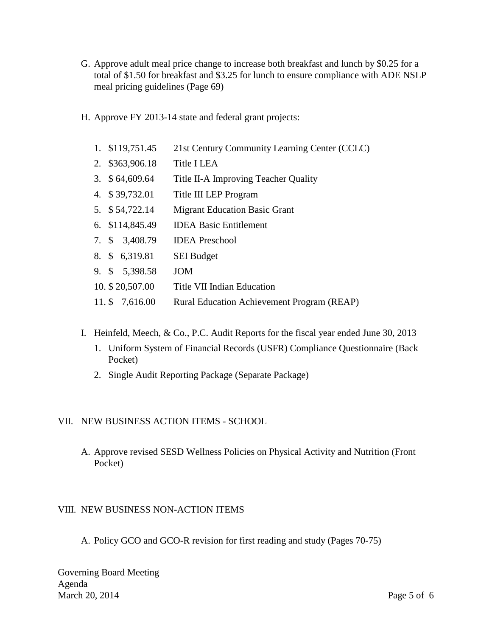- G. Approve adult meal price change to increase both breakfast and lunch by \$0.25 for a total of \$1.50 for breakfast and \$3.25 for lunch to ensure compliance with ADE NSLP meal pricing guidelines (Page 69)
- H. Approve FY 2013-14 state and federal grant projects:
	- 1. \$119,751.45 21st Century Community Learning Center (CCLC)
	- 2. \$363,906.18 Title I LEA
	- 3. \$ 64,609.64 Title II-A Improving Teacher Quality
	- 4. \$ 39,732.01 Title III LEP Program
	- 5. \$ 54,722.14 Migrant Education Basic Grant
	- 6. \$114,845.49 IDEA Basic Entitlement
	- 7. \$ 3,408.79 IDEA Preschool
	- 8. \$ 6,319.81 SEI Budget
	- 9. \$ 5,398.58 JOM
	- 10. \$ 20,507.00 Title VII Indian Education
	- 11. \$ 7,616.00 Rural Education Achievement Program (REAP)
- I. Heinfeld, Meech, & Co., P.C. Audit Reports for the fiscal year ended June 30, 2013
	- 1. Uniform System of Financial Records (USFR) Compliance Questionnaire (Back Pocket)
	- 2. Single Audit Reporting Package (Separate Package)

#### VII. NEW BUSINESS ACTION ITEMS - SCHOOL

A. Approve revised SESD Wellness Policies on Physical Activity and Nutrition (Front Pocket)

#### VIII. NEW BUSINESS NON-ACTION ITEMS

A. Policy GCO and GCO-R revision for first reading and study (Pages 70-75)

Governing Board Meeting Agenda March 20, 2014 Page 5 of 6